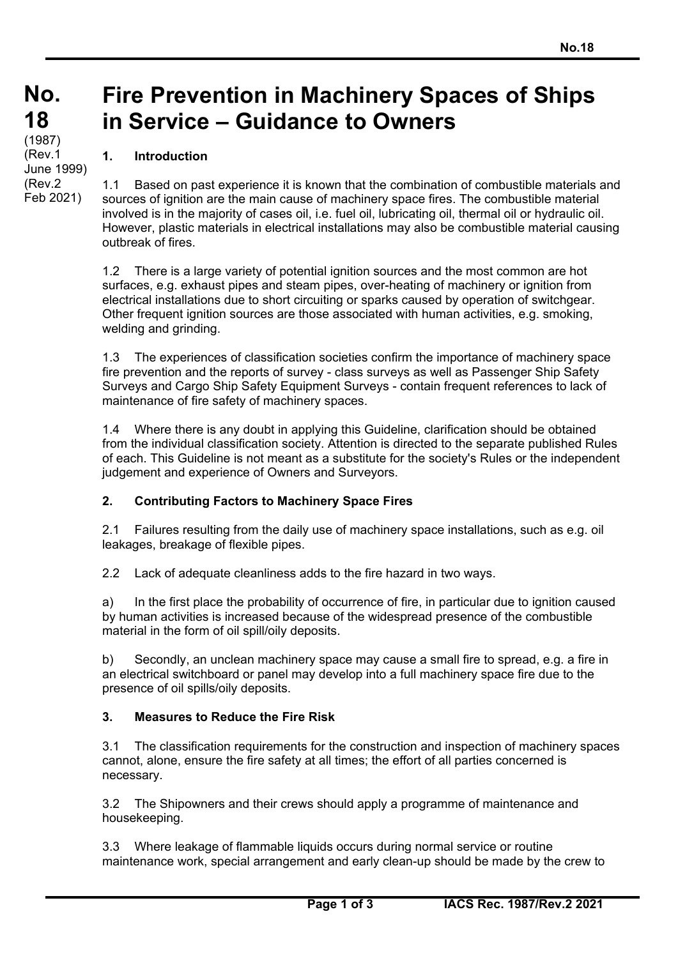Feb 2021)

# **Fire Prevention in Machinery Spaces of Ships in Service – Guidance to Owners**

# **1. Introduction**

1.1 Based on past experience it is known that the combination of combustible materials and sources of ignition are the main cause of machinery space fires. The combustible material involved is in the majority of cases oil, i.e. fuel oil, lubricating oil, thermal oil or hydraulic oil. However, plastic materials in electrical installations may also be combustible material causing outbreak of fires.

1.2 There is a large variety of potential ignition sources and the most common are hot surfaces, e.g. exhaust pipes and steam pipes, over-heating of machinery or ignition from electrical installations due to short circuiting or sparks caused by operation of switchgear. Other frequent ignition sources are those associated with human activities, e.g. smoking, welding and grinding.

1.3 The experiences of classification societies confirm the importance of machinery space fire prevention and the reports of survey - class surveys as well as Passenger Ship Safety Surveys and Cargo Ship Safety Equipment Surveys - contain frequent references to lack of maintenance of fire safety of machinery spaces.

1.4 Where there is any doubt in applying this Guideline, clarification should be obtained from the individual classification society. Attention is directed to the separate published Rules of each. This Guideline is not meant as a substitute for the society's Rules or the independent judgement and experience of Owners and Surveyors.

## **2. Contributing Factors to Machinery Space Fires**

2.1 Failures resulting from the daily use of machinery space installations, such as e.g. oil leakages, breakage of flexible pipes.

2.2 Lack of adequate cleanliness adds to the fire hazard in two ways.

a) In the first place the probability of occurrence of fire, in particular due to ignition caused by human activities is increased because of the widespread presence of the combustible material in the form of oil spill/oily deposits.

b) Secondly, an unclean machinery space may cause a small fire to spread, e.g. a fire in an electrical switchboard or panel may develop into a full machinery space fire due to the presence of oil spills/oily deposits.

## **3. Measures to Reduce the Fire Risk**

 $\overline{a}$ 

3.1 The classification requirements for the construction and inspection of machinery spaces cannot, alone, ensure the fire safety at all times; the effort of all parties concerned is necessary.

3.2 The Shipowners and their crews should apply a programme of maintenance and housekeeping.

3.3 Where leakage of flammable liquids occurs during normal service or routine maintenance work, special arrangement and early clean-up should be made by the crew to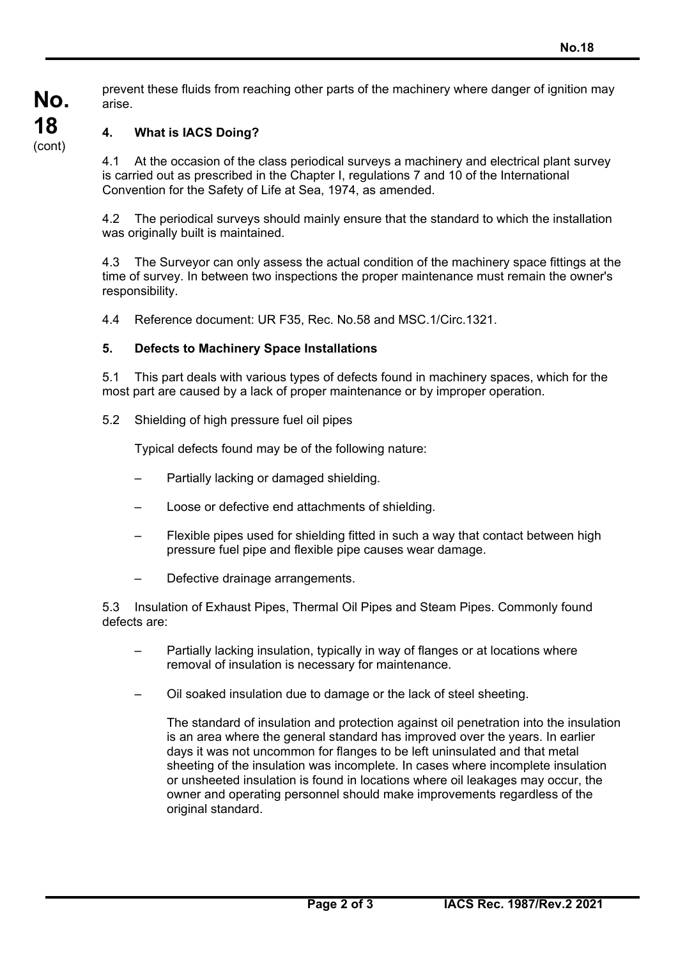prevent these fluids from reaching other parts of the machinery where danger of ignition may arise.

#### **4. What is IACS Doing?**

4.1 At the occasion of the class periodical surveys a machinery and electrical plant survey is carried out as prescribed in the Chapter I, regulations 7 and 10 of the International Convention for the Safety of Life at Sea, 1974, as amended.

4.2 The periodical surveys should mainly ensure that the standard to which the installation was originally built is maintained.

4.3 The Surveyor can only assess the actual condition of the machinery space fittings at the time of survey. In between two inspections the proper maintenance must remain the owner's responsibility.

4.4 Reference document: UR F35, Rec. No.58 and MSC.1/Circ.1321.

#### **5. Defects to Machinery Space Installations**

5.1 This part deals with various types of defects found in machinery spaces, which for the most part are caused by a lack of proper maintenance or by improper operation.

5.2 Shielding of high pressure fuel oil pipes

Typical defects found may be of the following nature:

- Partially lacking or damaged shielding.
- Loose or defective end attachments of shielding.
- Flexible pipes used for shielding fitted in such a way that contact between high pressure fuel pipe and flexible pipe causes wear damage.
- Defective drainage arrangements.

 $\overline{a}$ 

5.3 Insulation of Exhaust Pipes, Thermal Oil Pipes and Steam Pipes. Commonly found defects are:

- Partially lacking insulation, typically in way of flanges or at locations where removal of insulation is necessary for maintenance.
- Oil soaked insulation due to damage or the lack of steel sheeting.

 The standard of insulation and protection against oil penetration into the insulation is an area where the general standard has improved over the years. In earlier days it was not uncommon for flanges to be left uninsulated and that metal sheeting of the insulation was incomplete. In cases where incomplete insulation or unsheeted insulation is found in locations where oil leakages may occur, the owner and operating personnel should make improvements regardless of the original standard.